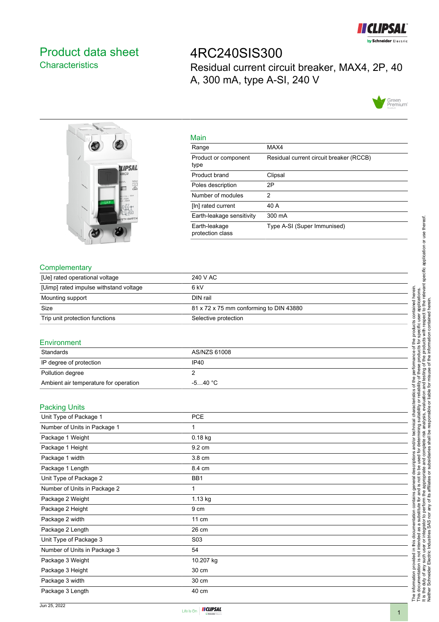

## <span id="page-0-0"></span>Product data sheet **Characteristics**

4RC240SIS300 Residual current circuit breaker, MAX4, 2P, 40 A, 300 mA, type A-SI, 240 V





| Main                              |                                         |
|-----------------------------------|-----------------------------------------|
| Range                             | MAX4                                    |
| Product or component<br>type      | Residual current circuit breaker (RCCB) |
| Product brand                     | Clipsal                                 |
| Poles description                 | 2P                                      |
| Number of modules                 | 2                                       |
| [In] rated current                | 40 A                                    |
| Earth-leakage sensitivity         | 300 mA                                  |
| Earth-leakage<br>protection class | Type A-SI (Super Immunised)             |

### **Complementary**

| [Ue] rated operational voltage         | 240 V AC                                |
|----------------------------------------|-----------------------------------------|
| [Uimp] rated impulse withstand voltage | 6 kV                                    |
| Mounting support                       | DIN rail                                |
| Size                                   | 81 x 72 x 75 mm conforming to DIN 43880 |
| Trip unit protection functions         | Selective protection                    |

#### **Environment**

| Standards                             | AS/NZS 61008 |
|---------------------------------------|--------------|
| IP degree of protection               | IP40         |
| Pollution degree                      |              |
| Ambient air temperature for operation | $-540 °C$    |

#### Packing Units

| Unit Type of Package 1       | <b>PCE</b>       |  |
|------------------------------|------------------|--|
| Number of Units in Package 1 | 1                |  |
| Package 1 Weight             | 0.18 kg          |  |
| Package 1 Height             | 9.2 cm           |  |
| Package 1 width              | 3.8 cm           |  |
| Package 1 Length             | 8.4 cm           |  |
| Unit Type of Package 2       | BB1              |  |
| Number of Units in Package 2 | 1                |  |
| Package 2 Weight             | $1.13$ kg        |  |
| Package 2 Height             | 9 cm             |  |
| Package 2 width              | 11 cm            |  |
| Package 2 Length             | 26 cm            |  |
| Unit Type of Package 3       | S <sub>0</sub> 3 |  |
| Number of Units in Package 3 | 54               |  |
| Package 3 Weight             | 10.207 kg        |  |
| Package 3 Height             | 30 cm            |  |
| Package 3 width              | 30 cm            |  |
| Package 3 Length             | 40 cm            |  |



The information provided in this documentation contains general descriptions and/or technical characteristics of the performance of the products contained herein. This documentation is not intended as a substitute for and is not to be used for determining suitability or reliability of these products for specific user applications.

scriptions ě leral g contains  $\overline{\mathbf{p}}$ 

documentation

this

provided in

The information

technical characteristics of the performance of

It is the duty of any such user or integrator to perform the appropriate and complete risk analysis, evaluation and testing of the products with respect to the relevant specific application or use thereof.

r and is not to be used for determining suitability or reliability of the appropriate and complete risk analysis, evaluation and to its affiliates or subsidiaries shall be responsible or liable for π and/or i

This documentation is not intended as a substitute for<br>It is the duty of any such user or integrator to perform<br>Neither Schneider Electric Industries SAS nor any of i

y of these products for specific user applications.<br>testing of the products with respect to the relevar<br>misuse of the information contained herein. the products

relevant specific application or use thereof

contained herein.

Neither Schneider Electric Industries SAS nor any of its affiliates or subsidiaries shall be responsible or liable for misuse of the information contained herein.